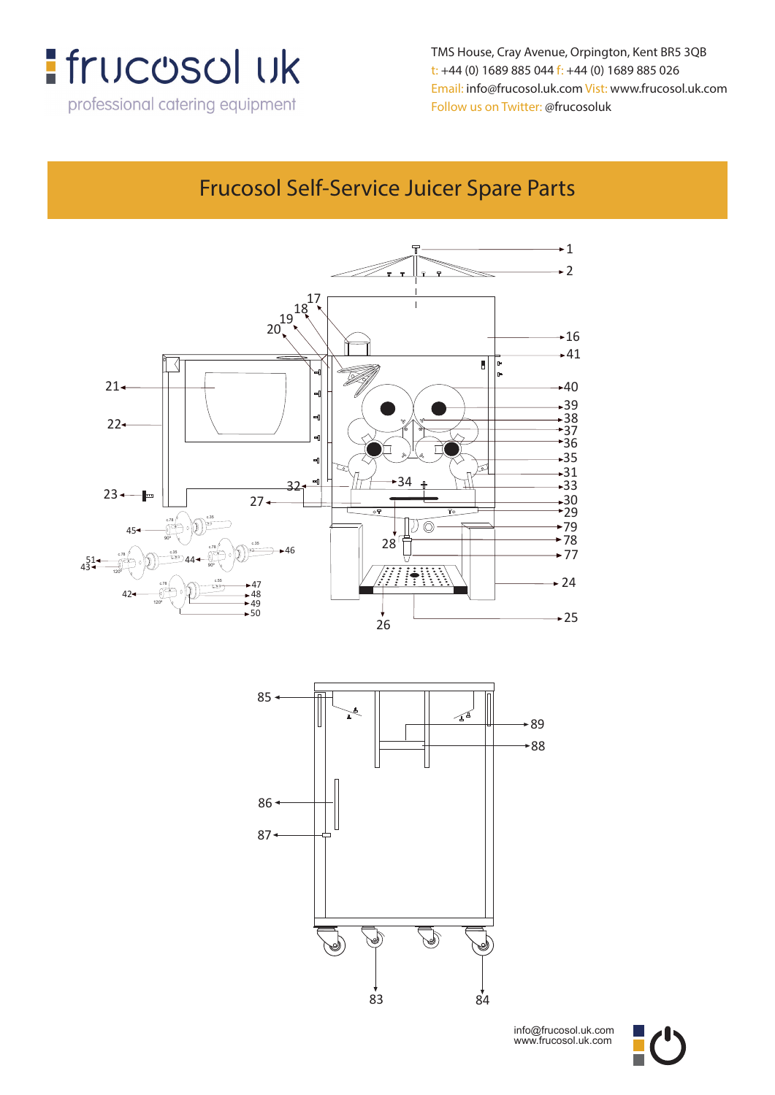

**t: +44 (0) 1689 885 044 f: +44 (0) 1689 885 026** TMS House, Cray Avenue, Orpington, Kent BR5 3QB **Email: info@frucosol.uk.com Vist: www.frucosol.uk.com** t: +44 (0) 1689 885 044 f: +44 (0) 1689 885 026 Email: info@frucosol.uk.com Vist: www.frucosol.uk.com Follow us on Twitter: @frucosoluk

### Frucosol Self-Service Juicer Spare Parts

**Frucosol Self-Service Juicer Spare Parts**





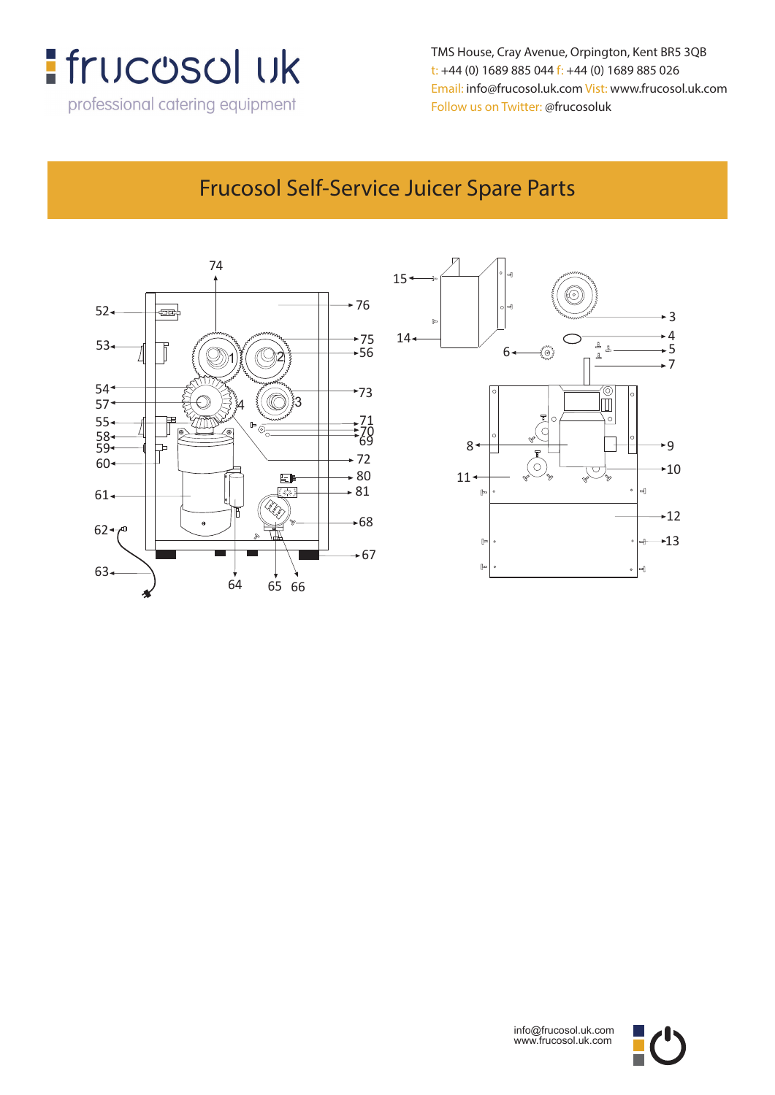

**t: +44 (0) 1689 885 044 f: +44 (0) 1689 885 026** TMS House, Cray Avenue, Orpington, Kent BR5 3QB t: +44 (0) 1689 885 044 f: +44 (0) 1689 885 026 Email: info@frucosol.uk.com Vist: www.frucosol.uk.com Follow us on Twitter: @frucosoluk

#### Frucosol Self-Service Juicer Spare Parts

**Frucosol Self-Service Juicer Diagram**







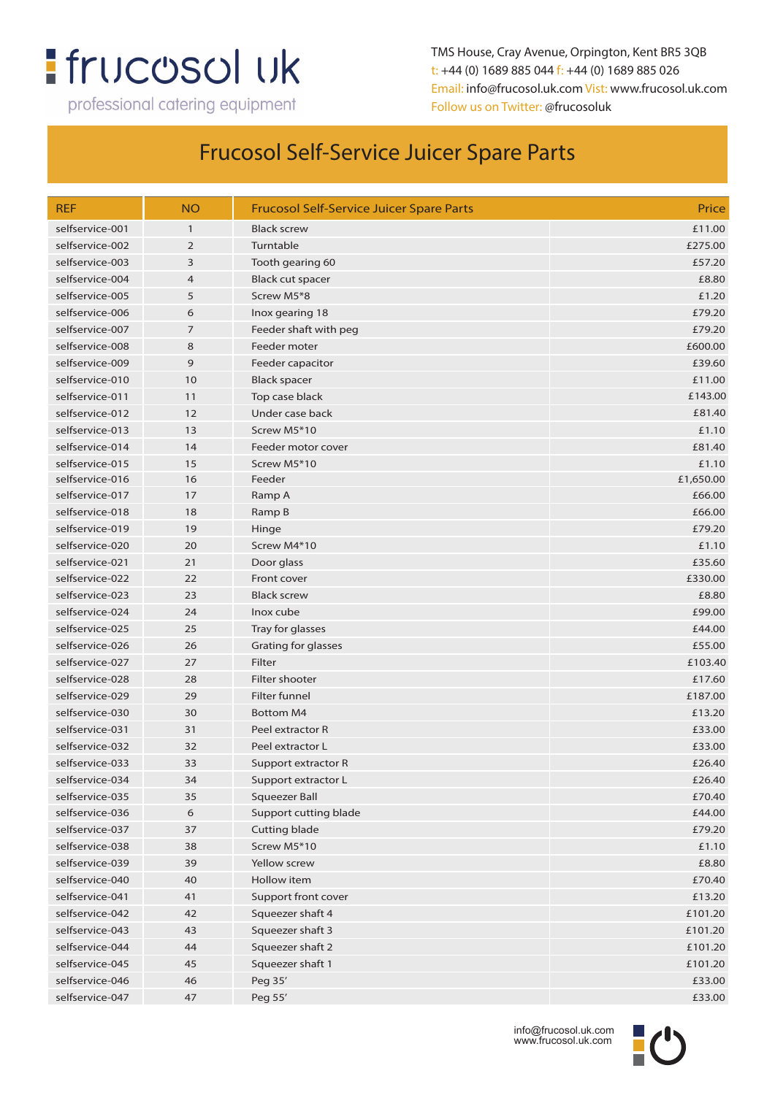## **:** frucosol uk

professional catering equipment

TMS House, Cray Avenue, Orpington, Kent BR5 3QB t: +44 (0) 1689 885 044 f: +44 (0) 1689 885 026 Email: info@frucosol.uk.com Vist: www.frucosol.uk.com Follow us on Twitter: @frucosoluk

#### Frucosol Self-Service Juicer Spare Parts

| <b>REF</b>      | <b>NO</b>      | <b>Frucosol Self-Service Juicer Spare Parts</b> | Price     |
|-----------------|----------------|-------------------------------------------------|-----------|
| selfservice-001 | $\mathbf{1}$   | <b>Black screw</b>                              | £11.00    |
| selfservice-002 | $\overline{2}$ | Turntable                                       | £275.00   |
| selfservice-003 | 3              | Tooth gearing 60                                | £57.20    |
| selfservice-004 | $\overline{4}$ | Black cut spacer                                | £8.80     |
| selfservice-005 | 5              | Screw M5*8                                      | £1.20     |
| selfservice-006 | 6              | Inox gearing 18                                 | £79.20    |
| selfservice-007 | 7              | Feeder shaft with peg                           | £79.20    |
| selfservice-008 | 8              | Feeder moter                                    | £600.00   |
| selfservice-009 | 9              | Feeder capacitor                                | £39.60    |
| selfservice-010 | 10             | Black spacer                                    | £11.00    |
| selfservice-011 | 11             | Top case black                                  | £143.00   |
| selfservice-012 | 12             | Under case back                                 | £81.40    |
| selfservice-013 | 13             | Screw M5*10                                     | £1.10     |
| selfservice-014 | 14             | Feeder motor cover                              | £81.40    |
| selfservice-015 | 15             | Screw M5*10                                     | £1.10     |
| selfservice-016 | 16             | Feeder                                          | £1,650.00 |
| selfservice-017 | 17             | Ramp A                                          | £66.00    |
| selfservice-018 | 18             | Ramp B                                          | £66.00    |
| selfservice-019 | 19             | Hinge                                           | £79.20    |
| selfservice-020 | 20             | Screw M4*10                                     | £1.10     |
| selfservice-021 | 21             | Door glass                                      | £35.60    |
| selfservice-022 | 22             | Front cover                                     | £330.00   |
| selfservice-023 | 23             | <b>Black screw</b>                              | £8.80     |
| selfservice-024 | 24             | Inox cube                                       | £99.00    |
| selfservice-025 | 25             | Tray for glasses                                | £44.00    |
| selfservice-026 | 26             | Grating for glasses                             | £55.00    |
| selfservice-027 | 27             | Filter                                          | £103.40   |
| selfservice-028 | 28             | Filter shooter                                  | £17.60    |
| selfservice-029 | 29             | Filter funnel                                   | £187.00   |
| selfservice-030 | 30             | <b>Bottom M4</b>                                | £13.20    |
| selfservice-031 | 31             | Peel extractor R                                | £33.00    |
| selfservice-032 | 32             | Peel extractor L                                | £33.00    |
| selfservice-033 | 33             | Support extractor R                             | £26.40    |
| selfservice-034 | 34             | Support extractor L                             | £26.40    |
| selfservice-035 | 35             | <b>Squeezer Ball</b>                            | £70.40    |
| selfservice-036 | 6              | Support cutting blade                           | £44.00    |
| selfservice-037 | 37             | Cutting blade                                   | £79.20    |
| selfservice-038 | 38             | Screw M5*10                                     | £1.10     |
| selfservice-039 | 39             | Yellow screw                                    | £8.80     |
| selfservice-040 | 40             | Hollow item                                     | £70.40    |
| selfservice-041 | 41             | Support front cover                             | £13.20    |
| selfservice-042 | 42             | Squeezer shaft 4                                | £101.20   |
| selfservice-043 | 43             | Squeezer shaft 3                                | £101.20   |
| selfservice-044 | 44             | Squeezer shaft 2                                | £101.20   |
| selfservice-045 | 45             | Squeezer shaft 1                                | £101.20   |
| selfservice-046 | 46             | Peg 35'                                         | £33.00    |
| selfservice-047 | 47             | Peg 55'                                         | £33.00    |
|                 |                |                                                 |           |